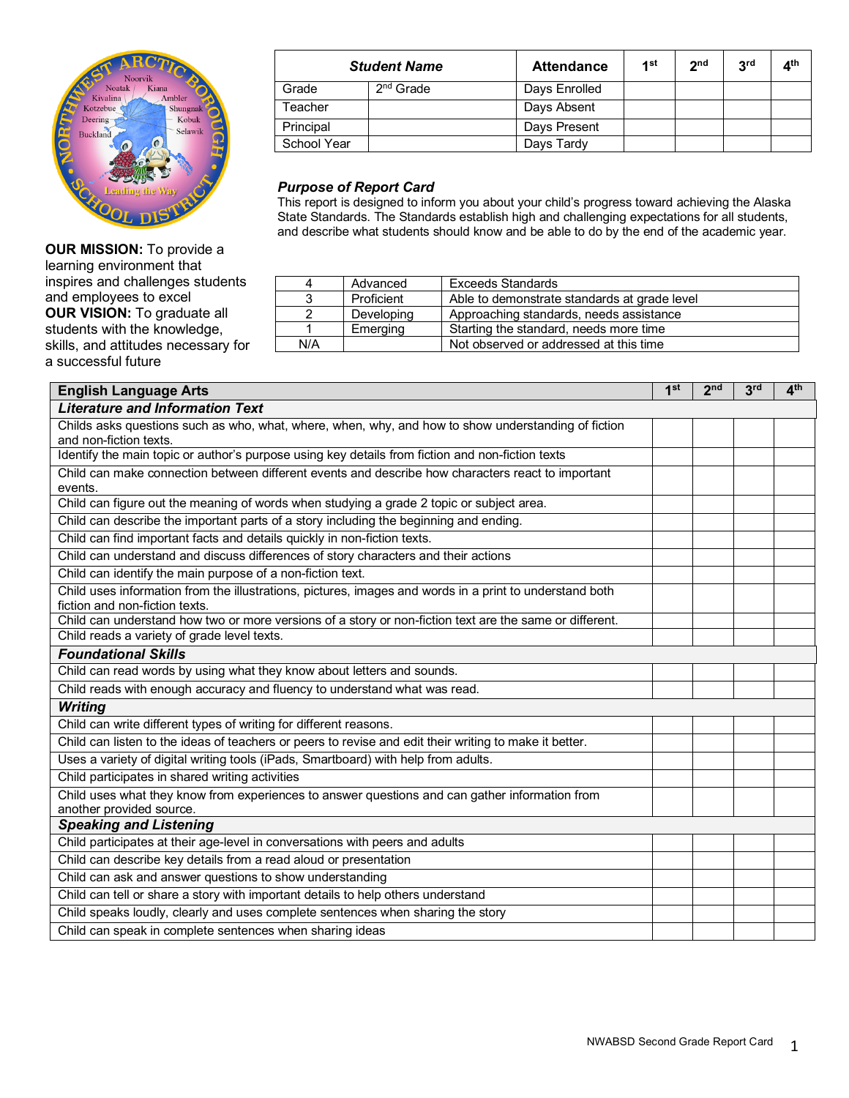

**OUR MISSION:** To provide a learning environment that inspires and challenges students and employees to excel **OUR VISION:** To graduate all students with the knowledge, skills, and attitudes necessary for a successful future

| <b>Student Name</b> |             | <b>Attendance</b> | 1st | 2 <sub>nd</sub> | 3 <sup>rd</sup> | $\mathbf{A}^{\text{th}}$ |
|---------------------|-------------|-------------------|-----|-----------------|-----------------|--------------------------|
| Grade               | $2nd$ Grade | Days Enrolled     |     |                 |                 |                          |
| Teacher             |             | Days Absent       |     |                 |                 |                          |
| Principal           |             | Days Present      |     |                 |                 |                          |
| School Year         |             | Days Tardy        |     |                 |                 |                          |

## *Purpose of Report Card*

This report is designed to inform you about your child's progress toward achieving the Alaska State Standards. The Standards establish high and challenging expectations for all students, and describe what students should know and be able to do by the end of the academic year.

| 4   | Advanced   | Exceeds Standards                            |
|-----|------------|----------------------------------------------|
|     | Proficient | Able to demonstrate standards at grade level |
|     | Developing | Approaching standards, needs assistance      |
|     | Emerging   | Starting the standard, needs more time       |
| N/A |            | Not observed or addressed at this time       |

| <b>English Language Arts</b>                                                                                                              | 1 <sup>st</sup> | 2 <sub>nd</sub> | 3 <sup>rd</sup> | $\mathbf{A}^{\text{th}}$ |
|-------------------------------------------------------------------------------------------------------------------------------------------|-----------------|-----------------|-----------------|--------------------------|
| <b>Literature and Information Text</b>                                                                                                    |                 |                 |                 |                          |
| Childs asks questions such as who, what, where, when, why, and how to show understanding of fiction                                       |                 |                 |                 |                          |
| and non-fiction texts.                                                                                                                    |                 |                 |                 |                          |
| Identify the main topic or author's purpose using key details from fiction and non-fiction texts                                          |                 |                 |                 |                          |
| Child can make connection between different events and describe how characters react to important                                         |                 |                 |                 |                          |
| events.                                                                                                                                   |                 |                 |                 |                          |
| Child can figure out the meaning of words when studying a grade 2 topic or subject area.                                                  |                 |                 |                 |                          |
| Child can describe the important parts of a story including the beginning and ending.                                                     |                 |                 |                 |                          |
| Child can find important facts and details quickly in non-fiction texts.                                                                  |                 |                 |                 |                          |
| Child can understand and discuss differences of story characters and their actions                                                        |                 |                 |                 |                          |
| Child can identify the main purpose of a non-fiction text.                                                                                |                 |                 |                 |                          |
| Child uses information from the illustrations, pictures, images and words in a print to understand both<br>fiction and non-fiction texts. |                 |                 |                 |                          |
| Child can understand how two or more versions of a story or non-fiction text are the same or different.                                   |                 |                 |                 |                          |
| Child reads a variety of grade level texts.                                                                                               |                 |                 |                 |                          |
| <b>Foundational Skills</b>                                                                                                                |                 |                 |                 |                          |
| Child can read words by using what they know about letters and sounds.                                                                    |                 |                 |                 |                          |
| Child reads with enough accuracy and fluency to understand what was read.                                                                 |                 |                 |                 |                          |
| <b>Writing</b>                                                                                                                            |                 |                 |                 |                          |
| Child can write different types of writing for different reasons.                                                                         |                 |                 |                 |                          |
| Child can listen to the ideas of teachers or peers to revise and edit their writing to make it better.                                    |                 |                 |                 |                          |
| Uses a variety of digital writing tools (iPads, Smartboard) with help from adults.                                                        |                 |                 |                 |                          |
| Child participates in shared writing activities                                                                                           |                 |                 |                 |                          |
| Child uses what they know from experiences to answer questions and can gather information from<br>another provided source.                |                 |                 |                 |                          |
| <b>Speaking and Listening</b>                                                                                                             |                 |                 |                 |                          |
| Child participates at their age-level in conversations with peers and adults                                                              |                 |                 |                 |                          |
| Child can describe key details from a read aloud or presentation                                                                          |                 |                 |                 |                          |
| Child can ask and answer questions to show understanding                                                                                  |                 |                 |                 |                          |
| Child can tell or share a story with important details to help others understand                                                          |                 |                 |                 |                          |
| Child speaks loudly, clearly and uses complete sentences when sharing the story                                                           |                 |                 |                 |                          |
| Child can speak in complete sentences when sharing ideas                                                                                  |                 |                 |                 |                          |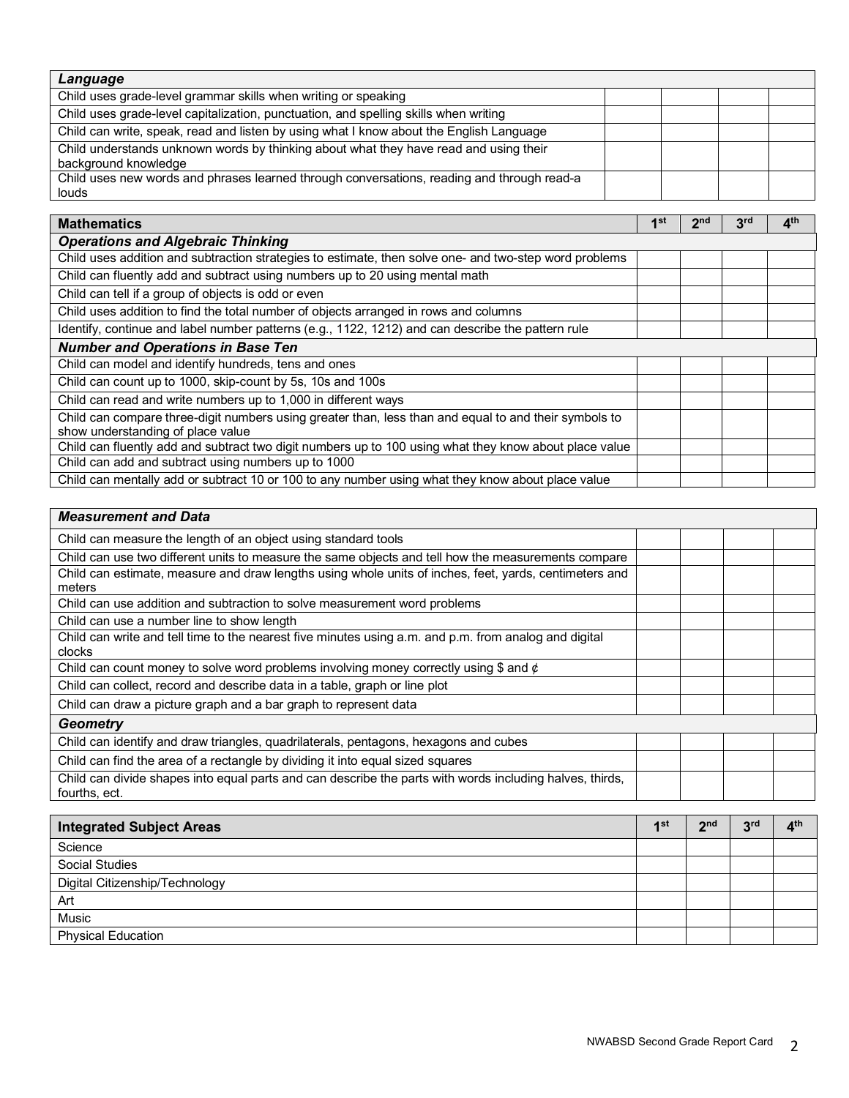| Language                                                                                   |  |  |  |  |
|--------------------------------------------------------------------------------------------|--|--|--|--|
| Child uses grade-level grammar skills when writing or speaking                             |  |  |  |  |
| Child uses grade-level capitalization, punctuation, and spelling skills when writing       |  |  |  |  |
| Child can write, speak, read and listen by using what I know about the English Language    |  |  |  |  |
| Child understands unknown words by thinking about what they have read and using their      |  |  |  |  |
| background knowledge                                                                       |  |  |  |  |
| Child uses new words and phrases learned through conversations, reading and through read-a |  |  |  |  |
| louds                                                                                      |  |  |  |  |

| <b>Mathematics</b>                                                                                                                         | 1 <sup>st</sup> | 2nd | 3 <sup>rd</sup> | 4 <sup>th</sup> |
|--------------------------------------------------------------------------------------------------------------------------------------------|-----------------|-----|-----------------|-----------------|
| <b>Operations and Algebraic Thinking</b>                                                                                                   |                 |     |                 |                 |
| Child uses addition and subtraction strategies to estimate, then solve one- and two-step word problems                                     |                 |     |                 |                 |
| Child can fluently add and subtract using numbers up to 20 using mental math                                                               |                 |     |                 |                 |
| Child can tell if a group of objects is odd or even                                                                                        |                 |     |                 |                 |
| Child uses addition to find the total number of objects arranged in rows and columns                                                       |                 |     |                 |                 |
| Identify, continue and label number patterns (e.g., 1122, 1212) and can describe the pattern rule                                          |                 |     |                 |                 |
| <b>Number and Operations in Base Ten</b>                                                                                                   |                 |     |                 |                 |
| Child can model and identify hundreds, tens and ones                                                                                       |                 |     |                 |                 |
| Child can count up to 1000, skip-count by 5s, 10s and 100s                                                                                 |                 |     |                 |                 |
| Child can read and write numbers up to 1,000 in different ways                                                                             |                 |     |                 |                 |
| Child can compare three-digit numbers using greater than, less than and equal to and their symbols to<br>show understanding of place value |                 |     |                 |                 |
| Child can fluently add and subtract two digit numbers up to 100 using what they know about place value                                     |                 |     |                 |                 |
| Child can add and subtract using numbers up to 1000                                                                                        |                 |     |                 |                 |
| Child can mentally add or subtract 10 or 100 to any number using what they know about place value                                          |                 |     |                 |                 |

| <b>Measurement and Data</b>                                                                                               |  |  |
|---------------------------------------------------------------------------------------------------------------------------|--|--|
| Child can measure the length of an object using standard tools                                                            |  |  |
| Child can use two different units to measure the same objects and tell how the measurements compare                       |  |  |
| Child can estimate, measure and draw lengths using whole units of inches, feet, yards, centimeters and<br>meters          |  |  |
| Child can use addition and subtraction to solve measurement word problems                                                 |  |  |
| Child can use a number line to show length                                                                                |  |  |
| Child can write and tell time to the nearest five minutes using a.m. and p.m. from analog and digital<br>clocks           |  |  |
| Child can count money to solve word problems involving money correctly using \$ and $\phi$                                |  |  |
| Child can collect, record and describe data in a table, graph or line plot                                                |  |  |
| Child can draw a picture graph and a bar graph to represent data                                                          |  |  |
| Geometry                                                                                                                  |  |  |
| Child can identify and draw triangles, quadrilaterals, pentagons, hexagons and cubes                                      |  |  |
| Child can find the area of a rectangle by dividing it into equal sized squares                                            |  |  |
| Child can divide shapes into equal parts and can describe the parts with words including halves, thirds,<br>fourths, ect. |  |  |

| <b>Integrated Subject Areas</b> |  |  | 2rd | $\mathbf{\Lambda}^{\text{th}}$ |
|---------------------------------|--|--|-----|--------------------------------|
| Science                         |  |  |     |                                |
| Social Studies                  |  |  |     |                                |
| Digital Citizenship/Technology  |  |  |     |                                |
| Art                             |  |  |     |                                |
| Music                           |  |  |     |                                |
| <b>Physical Education</b>       |  |  |     |                                |